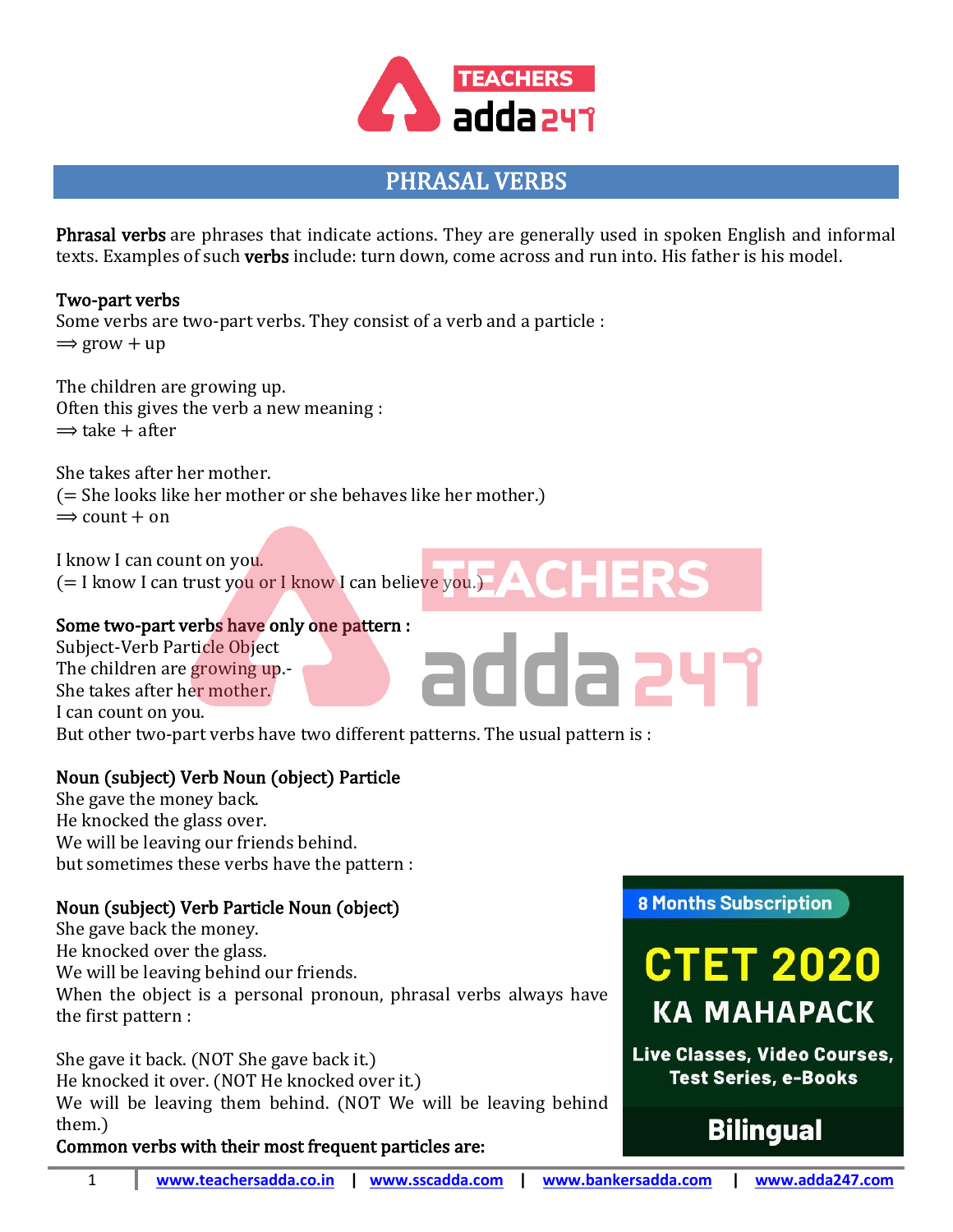

# PHRASAL VERBS

Phrasal verbs are phrases that indicate actions. They are generally used in spoken English and informal texts. Examples of such verbs include: turn down, come across and run into. His father is his model.

### Two-part verbs Some verbs are two-part verbs. They consist of a verb and a particle :  $\Rightarrow$  grow + up

The children are growing up. Often this gives the verb a new meaning :  $\Rightarrow$  take + after

She takes after her mother. (= She looks like her mother or she behaves like her mother.)  $\Rightarrow$  count  $+$  on

I know I can count on you. (= I know I can trust you or I know I can believe you.)

### Some two-part verbs have only one pattern :

Subject-Verb Particle Object The children are growing up.- She takes after her mother. I can count on you.

But other two-part verbs have two different patterns. The usual pattern is :

## Noun (subject) Verb Noun (object) Particle

She gave the money back. He knocked the glass over. We will be leaving our friends behind. but sometimes these verbs have the pattern :

### Noun (subject) Verb Particle Noun (object)

She gave back the money. He knocked over the glass. We will be leaving behind our friends. When the object is a personal pronoun, phrasal verbs always have the first pattern :

She gave it back. (NOT She gave back it.) He knocked it over. (NOT He knocked over it.) We will be leaving them behind. (NOT We will be leaving behind them.)

Common verbs with their most frequent particles are:

**8 Months Subscription** 

addazyr



Live Classes, Video Courses, **Test Series, e-Books** 

# **Bilingual**